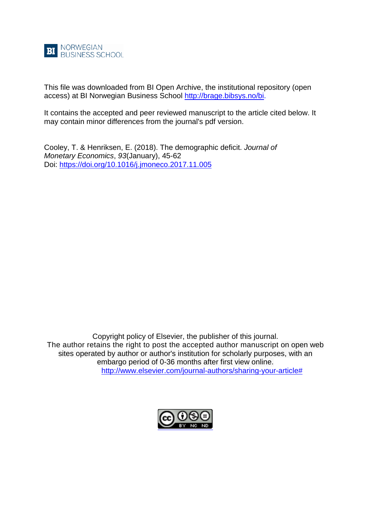

This file was downloaded from BI Open Archive, the institutional repository (open access) at BI Norwegian Business School [http://brage.bibsys.no/bi.](http://brage.bibsys.no/bi)

It contains the accepted and peer reviewed manuscript to the article cited below. It may contain minor differences from the journal's pdf version.

Cooley, T. & Henriksen, E. (2018). The demographic deficit. *Journal of Monetary Economics*, *93*(January), 45-62 Doi: [https://doi.org/10.1016/j.jmoneco.2017.11.005](https://doi-org.ezproxy.library.bi.no/10.1016/j.jmoneco.2017.11.005)

Copyright policy of Elsevier, the publisher of this journal. The author retains the right to post the accepted author manuscript on open web sites operated by author or author's institution for scholarly purposes, with an embargo period of 0-36 months after first view online. [http://www.elsevier.com/journal-authors/sharing-your-article#](http://www.elsevier.com/journal-authors/sharing-your-article)

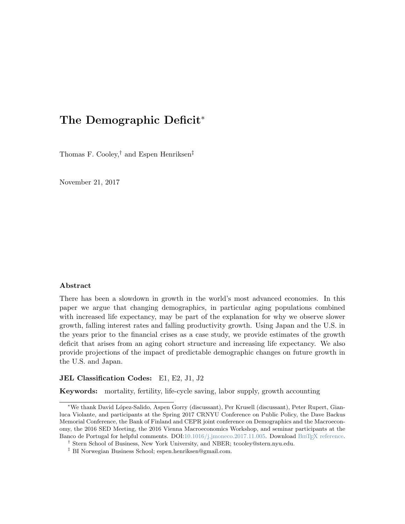# The Demographic Deficit[∗](#page-1-0)

Thomas F. Cooley,[†](#page-1-1) and Espen Henriksen[‡](#page-1-2)

November 21, 2017

#### Abstract

There has been a slowdown in growth in the world's most advanced economies. In this paper we argue that changing demographics, in particular aging populations combined with increased life expectancy, may be part of the explanation for why we observe slower growth, falling interest rates and falling productivity growth. Using Japan and the U.S. in the years prior to the financial crises as a case study, we provide estimates of the growth deficit that arises from an aging cohort structure and increasing life expectancy. We also provide projections of the impact of predictable demographic changes on future growth in the U.S. and Japan.

### JEL Classification Codes: E1, E2, J1, J2

Keywords: mortality, fertility, life-cycle saving, labor supply, growth accounting

<span id="page-1-0"></span><sup>∗</sup>We thank David L´opez-Salido, Aspen Gorry (discussant), Per Krusell (discussant), Peter Rupert, Gianluca Violante, and participants at the Spring 2017 CRNYU Conference on Public Policy, the Dave Backus Memorial Conference, the Bank of Finland and CEPR joint conference on Demographics and the Macroeconomy, the 2016 SED Meeting, the 2016 Vienna Macroeconomics Workshop, and seminar participants at the Banco de Portugal for helpful comments.  $DOL:10.1016/j.jmoneco.2017.11.005$ . Download BETEX reference.

<span id="page-1-1"></span><sup>†</sup> Stern School of Business, New York University, and NBER; tcooley@stern.nyu.edu.

<span id="page-1-2"></span><sup>‡</sup> BI Norwegian Business School; espen.henriksen@gmail.com.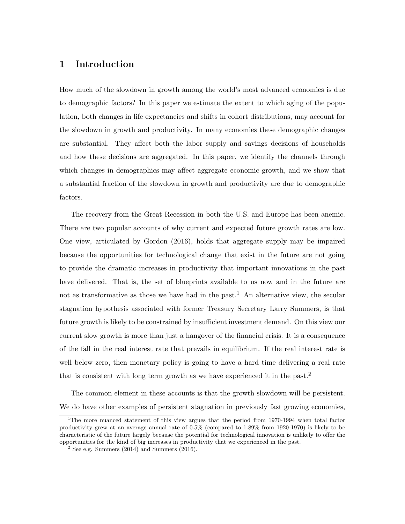## 1 Introduction

How much of the slowdown in growth among the world's most advanced economies is due to demographic factors? In this paper we estimate the extent to which aging of the population, both changes in life expectancies and shifts in cohort distributions, may account for the slowdown in growth and productivity. In many economies these demographic changes are substantial. They affect both the labor supply and savings decisions of households and how these decisions are aggregated. In this paper, we identify the channels through which changes in demographics may affect aggregate economic growth, and we show that a substantial fraction of the slowdown in growth and productivity are due to demographic factors.

The recovery from the Great Recession in both the U.S. and Europe has been anemic. There are two popular accounts of why current and expected future growth rates are low. One view, articulated by [Gordon](#page-30-0) [\(2016\)](#page-30-0), holds that aggregate supply may be impaired because the opportunities for technological change that exist in the future are not going to provide the dramatic increases in productivity that important innovations in the past have delivered. That is, the set of blueprints available to us now and in the future are not as transformative as those we have had in the past.<sup>[1](#page-2-0)</sup> An alternative view, the secular stagnation hypothesis associated with former Treasury Secretary Larry Summers, is that future growth is likely to be constrained by insufficient investment demand. On this view our current slow growth is more than just a hangover of the financial crisis. It is a consequence of the fall in the real interest rate that prevails in equilibrium. If the real interest rate is well below zero, then monetary policy is going to have a hard time delivering a real rate that is consistent with long term growth as we have experienced it in the past.<sup>[2](#page-2-1)</sup>

The common element in these accounts is that the growth slowdown will be persistent. We do have other examples of persistent stagnation in previously fast growing economies,

<span id="page-2-0"></span><sup>&</sup>lt;sup>1</sup>The more nuanced statement of this view argues that the period from 1970-1994 when total factor productivity grew at an average annual rate of 0.5% (compared to 1.89% from 1920-1970) is likely to be characteristic of the future largely because the potential for technological innovation is unlikely to offer the opportunities for the kind of big increases in productivity that we experienced in the past.

<span id="page-2-1"></span> $2$  See e.g. [Summers](#page-31-1) [\(2014\)](#page-31-0) and Summers [\(2016\)](#page-31-1).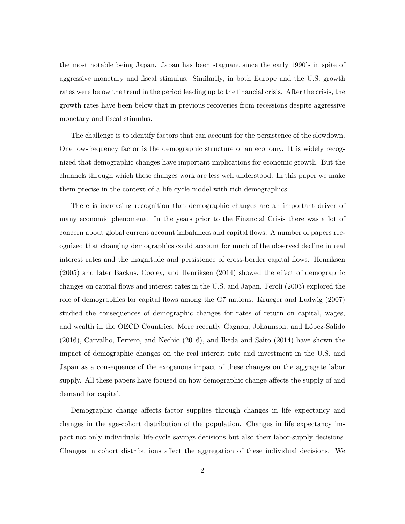the most notable being Japan. Japan has been stagnant since the early 1990's in spite of aggressive monetary and fiscal stimulus. Similarily, in both Europe and the U.S. growth rates were below the trend in the period leading up to the financial crisis. After the crisis, the growth rates have been below that in previous recoveries from recessions despite aggressive monetary and fiscal stimulus.

The challenge is to identify factors that can account for the persistence of the slowdown. One low-frequency factor is the demographic structure of an economy. It is widely recognized that demographic changes have important implications for economic growth. But the channels through which these changes work are less well understood. In this paper we make them precise in the context of a life cycle model with rich demographics.

There is increasing recognition that demographic changes are an important driver of many economic phenomena. In the years prior to the Financial Crisis there was a lot of concern about global current account imbalances and capital flows. A number of papers recognized that changing demographics could account for much of the observed decline in real interest rates and the magnitude and persistence of cross-border capital flows. [Henriksen](#page-30-1) [\(2005\)](#page-30-1) and later [Backus, Cooley, and Henriksen](#page-29-0) [\(2014\)](#page-29-0) showed the effect of demographic changes on capital flows and interest rates in the U.S. and Japan. [Feroli](#page-29-1) [\(2003\)](#page-29-1) explored the role of demographics for capital flows among the G7 nations. [Krueger and Ludwig](#page-31-2) [\(2007\)](#page-31-2) studied the consequences of demographic changes for rates of return on capital, wages, and wealth in the OECD Countries. More recently Gagnon, Johannson, and López-Salido [\(2016\)](#page-30-2), [Carvalho, Ferrero, and Nechio](#page-29-2) [\(2016\)](#page-29-2), and [Ikeda and Saito](#page-30-3) [\(2014\)](#page-30-3) have shown the impact of demographic changes on the real interest rate and investment in the U.S. and Japan as a consequence of the exogenous impact of these changes on the aggregate labor supply. All these papers have focused on how demographic change affects the supply of and demand for capital.

Demographic change affects factor supplies through changes in life expectancy and changes in the age-cohort distribution of the population. Changes in life expectancy impact not only individuals' life-cycle savings decisions but also their labor-supply decisions. Changes in cohort distributions affect the aggregation of these individual decisions. We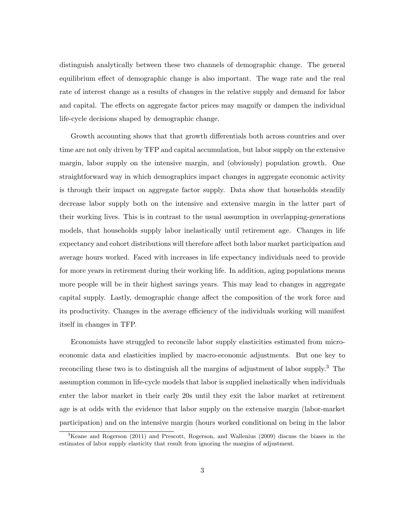distinguish analytically between these two channels of demographic change. The general equilibrium effect of demographic change is also important. The wage rate and the real rate of interest change as a results of changes in the relative supply and demand for labor and capital. The effects on aggregate factor prices may magnify or dampen the individual life-cycle decisions shaped by demographic change.

Growth accounting shows that that growth differentials both across countries and over time are not only driven by TFP and capital accumulation, but labor supply on the extensive margin, labor supply on the intensive margin, and (obviously) population growth. One straightforward way in which demographics impact changes in aggregate economic activity is through their impact on aggregate factor supply. Data show that households steadily decrease labor supply both on the intensive and extensive margin in the latter part of their working lives. This is in contrast to the usual assumption in overlapping-generations models, that households supply labor inelastically until retirement age. Changes in life expectancy and cohort distributions will therefore affect both labor market participation and average hours worked. Faced with increases in life expectancy individuals need to provide for more years in retirement during their working life. In addition, aging populations means more people will be in their highest savings years. This may lead to changes in aggregate capital supply. Lastly, demographic change affect the composition of the work force and its productivity. Changes in the average efficiency of the individuals working will manifest itself in changes in TFP.

Economists have struggled to reconcile labor supply elasticities estimated from microeconomic data and elasticities implied by macro-economic adjustments. But one key to reconciling these two is to distinguish all the margins of adjustment of labor supply.[3](#page-4-0) The assumption common in life-cycle models that labor is supplied inelastically when individuals enter the labor market in their early 20s until they exit the labor market at retirement age is at odds with the evidence that labor supply on the extensive margin (labor-market participation) and on the intensive margin (hours worked conditional on being in the labor

<span id="page-4-0"></span><sup>3</sup>[Keane and Rogerson](#page-30-4) [\(2011\)](#page-30-4) and [Prescott, Rogerson, and Wallenius](#page-31-3) [\(2009\)](#page-31-3) discuss the biases in the estimates of labor supply elasticity that result from ignoring the margins of adjustment.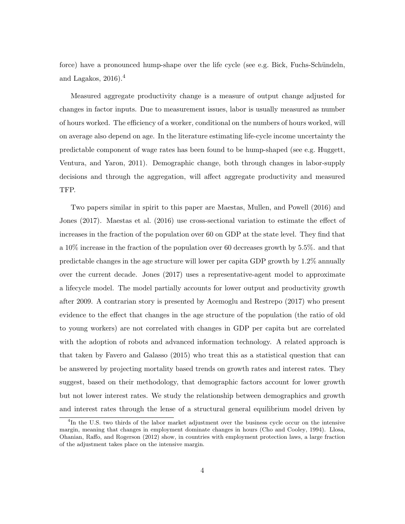force) have a pronounced hump-shape over the life cycle (see e.g. Bick, Fuchs-Schündeln, [and Lagakos,](#page-29-3)  $2016$ .<sup>[4](#page-5-0)</sup>

Measured aggregate productivity change is a measure of output change adjusted for changes in factor inputs. Due to measurement issues, labor is usually measured as number of hours worked. The efficiency of a worker, conditional on the numbers of hours worked, will on average also depend on age. In the literature estimating life-cycle income uncertainty the predictable component of wage rates has been found to be hump-shaped (see e.g. [Huggett,](#page-30-5) [Ventura, and Yaron,](#page-30-5) [2011\)](#page-30-5). Demographic change, both through changes in labor-supply decisions and through the aggregation, will affect aggregate productivity and measured TFP.

Two papers similar in spirit to this paper are [Maestas, Mullen, and Powell](#page-31-4) [\(2016\)](#page-31-4) and [Jones](#page-30-6) [\(2017\)](#page-30-6). [Maestas et al.](#page-31-4) [\(2016\)](#page-31-4) use cross-sectional variation to estimate the effect of increases in the fraction of the population over 60 on GDP at the state level. They find that a 10% increase in the fraction of the population over 60 decreases growth by 5.5%. and that predictable changes in the age structure will lower per capita GDP growth by 1.2% annually over the current decade. [Jones](#page-30-6) [\(2017\)](#page-30-6) uses a representative-agent model to approximate a lifecycle model. The model partially accounts for lower output and productivity growth after 2009. A contrarian story is presented by [Acemoglu and Restrepo](#page-29-4) [\(2017\)](#page-29-4) who present evidence to the effect that changes in the age structure of the population (the ratio of old to young workers) are not correlated with changes in GDP per capita but are correlated with the adoption of robots and advanced information technology. A related approach is that taken by [Favero and Galasso](#page-29-5) [\(2015\)](#page-29-5) who treat this as a statistical question that can be answered by projecting mortality based trends on growth rates and interest rates. They suggest, based on their methodology, that demographic factors account for lower growth but not lower interest rates. We study the relationship between demographics and growth and interest rates through the lense of a structural general equilibrium model driven by

<span id="page-5-0"></span><sup>&</sup>lt;sup>4</sup>In the U.S. two thirds of the labor market adjustment over the business cycle occur on the intensive margin, meaning that changes in employment dominate changes in hours [\(Cho and Cooley,](#page-29-6) [1994\)](#page-29-6). [Llosa,](#page-31-5) [Ohanian, Raffo, and Rogerson](#page-31-5) [\(2012\)](#page-31-5) show, in countries with employment protection laws, a large fraction of the adjustment takes place on the intensive margin.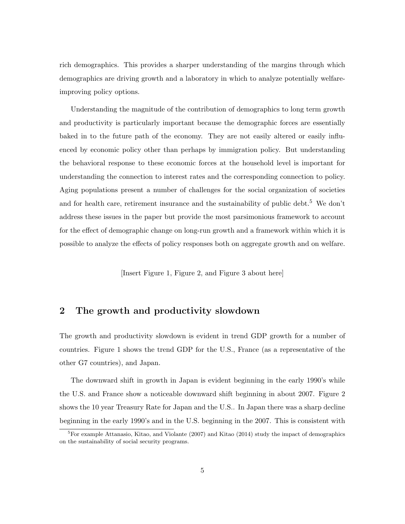rich demographics. This provides a sharper understanding of the margins through which demographics are driving growth and a laboratory in which to analyze potentially welfareimproving policy options.

Understanding the magnitude of the contribution of demographics to long term growth and productivity is particularly important because the demographic forces are essentially baked in to the future path of the economy. They are not easily altered or easily influenced by economic policy other than perhaps by immigration policy. But understanding the behavioral response to these economic forces at the household level is important for understanding the connection to interest rates and the corresponding connection to policy. Aging populations present a number of challenges for the social organization of societies and for health care, retirement insurance and the sustainability of public debt.<sup>[5](#page-6-0)</sup> We don't address these issues in the paper but provide the most parsimonious framework to account for the effect of demographic change on long-run growth and a framework within which it is possible to analyze the effects of policy responses both on aggregate growth and on welfare.

[Insert Figure [1,](#page-35-0) Figure [2,](#page-35-1) and Figure [3](#page-36-0) about here]

## <span id="page-6-1"></span>2 The growth and productivity slowdown

The growth and productivity slowdown is evident in trend GDP growth for a number of countries. Figure [1](#page-35-0) shows the trend GDP for the U.S., France (as a representative of the other G7 countries), and Japan.

The downward shift in growth in Japan is evident beginning in the early 1990's while the U.S. and France show a noticeable downward shift beginning in about 2007. Figure [2](#page-35-1) shows the 10 year Treasury Rate for Japan and the U.S.. In Japan there was a sharp decline beginning in the early 1990's and in the U.S. beginning in the 2007. This is consistent with

<span id="page-6-0"></span> ${}^{5}$ For example [Attanasio, Kitao, and Violante](#page-29-7) [\(2007\)](#page-29-7) and [Kitao](#page-31-6) [\(2014\)](#page-31-6) study the impact of demographics on the sustainability of social security programs.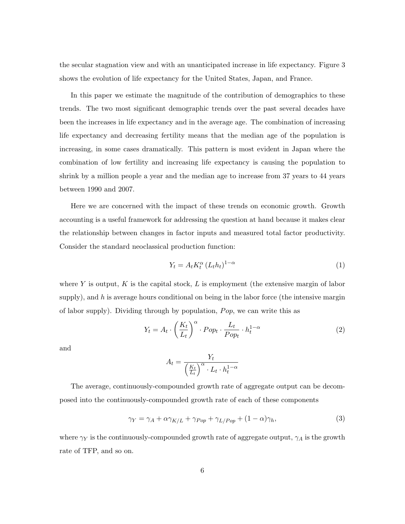the secular stagnation view and with an unanticipated increase in life expectancy. Figure [3](#page-36-0) shows the evolution of life expectancy for the United States, Japan, and France.

In this paper we estimate the magnitude of the contribution of demographics to these trends. The two most significant demographic trends over the past several decades have been the increases in life expectancy and in the average age. The combination of increasing life expectancy and decreasing fertility means that the median age of the population is increasing, in some cases dramatically. This pattern is most evident in Japan where the combination of low fertility and increasing life expectancy is causing the population to shrink by a million people a year and the median age to increase from 37 years to 44 years between 1990 and 2007.

Here we are concerned with the impact of these trends on economic growth. Growth accounting is a useful framework for addressing the question at hand because it makes clear the relationship between changes in factor inputs and measured total factor productivity. Consider the standard neoclassical production function:

$$
Y_t = A_t K_t^{\alpha} \left( L_t h_t \right)^{1-\alpha} \tag{1}
$$

where Y is output, K is the capital stock, L is employment (the extensive margin of labor supply), and h is average hours conditional on being in the labor force (the intensive margin of labor supply). Dividing through by population,  $Pop$ , we can write this as

$$
Y_t = A_t \cdot \left(\frac{K_t}{L_t}\right)^{\alpha} \cdot Pop_t \cdot \frac{L_t}{Pop_t} \cdot h_t^{1-\alpha} \tag{2}
$$

and

$$
A_t = \frac{Y_t}{\left(\frac{K_t}{L_t}\right)^{\alpha} \cdot L_t \cdot h_t^{1-\alpha}}
$$

The average, continuously-compounded growth rate of aggregate output can be decomposed into the continuously-compounded growth rate of each of these components

$$
\gamma_Y = \gamma_A + \alpha \gamma_{K/L} + \gamma_{Pop} + \gamma_{L/Pop} + (1 - \alpha)\gamma_h,\tag{3}
$$

where  $\gamma_Y$  is the continuously-compounded growth rate of aggregate output,  $\gamma_A$  is the growth rate of TFP, and so on.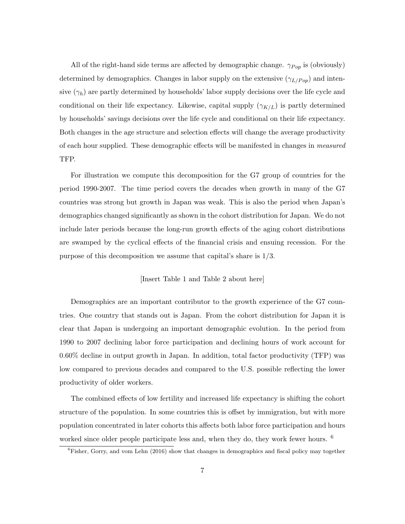All of the right-hand side terms are affected by demographic change.  $\gamma_{Pop}$  is (obviously) determined by demographics. Changes in labor supply on the extensive  $(\gamma_{L/Pop})$  and intensive  $(\gamma_h)$  are partly determined by households' labor supply decisions over the life cycle and conditional on their life expectancy. Likewise, capital supply  $(\gamma_{K/L})$  is partly determined by households' savings decisions over the life cycle and conditional on their life expectancy. Both changes in the age structure and selection effects will change the average productivity of each hour supplied. These demographic effects will be manifested in changes in measured TFP.

For illustration we compute this decomposition for the G7 group of countries for the period 1990-2007. The time period covers the decades when growth in many of the G7 countries was strong but growth in Japan was weak. This is also the period when Japan's demographics changed significantly as shown in the cohort distribution for Japan. We do not include later periods because the long-run growth effects of the aging cohort distributions are swamped by the cyclical effects of the financial crisis and ensuing recession. For the purpose of this decomposition we assume that capital's share is 1/3.

#### [Insert Table [1](#page-32-0) and Table [2](#page-32-1) about here]

Demographics are an important contributor to the growth experience of the G7 countries. One country that stands out is Japan. From the cohort distribution for Japan it is clear that Japan is undergoing an important demographic evolution. In the period from 1990 to 2007 declining labor force participation and declining hours of work account for 0.60% decline in output growth in Japan. In addition, total factor productivity (TFP) was low compared to previous decades and compared to the U.S. possible reflecting the lower productivity of older workers.

The combined effects of low fertility and increased life expectancy is shifting the cohort structure of the population. In some countries this is offset by immigration, but with more population concentrated in later cohorts this affects both labor force participation and hours worked since older people participate less and, when they do, they work fewer hours. <sup>[6](#page-8-0)</sup>

<span id="page-8-0"></span><sup>&</sup>lt;sup>6</sup>[Fisher, Gorry, and vom Lehn](#page-29-8) [\(2016\)](#page-29-8) show that changes in demographics and fiscal policy may together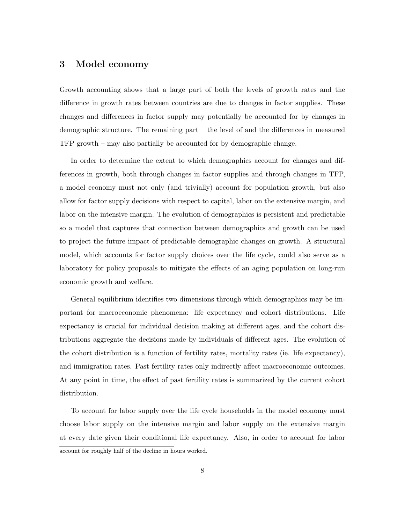## 3 Model economy

Growth accounting shows that a large part of both the levels of growth rates and the difference in growth rates between countries are due to changes in factor supplies. These changes and differences in factor supply may potentially be accounted for by changes in demographic structure. The remaining part – the level of and the differences in measured TFP growth – may also partially be accounted for by demographic change.

In order to determine the extent to which demographics account for changes and differences in growth, both through changes in factor supplies and through changes in TFP, a model economy must not only (and trivially) account for population growth, but also allow for factor supply decisions with respect to capital, labor on the extensive margin, and labor on the intensive margin. The evolution of demographics is persistent and predictable so a model that captures that connection between demographics and growth can be used to project the future impact of predictable demographic changes on growth. A structural model, which accounts for factor supply choices over the life cycle, could also serve as a laboratory for policy proposals to mitigate the effects of an aging population on long-run economic growth and welfare.

General equilibrium identifies two dimensions through which demographics may be important for macroeconomic phenomena: life expectancy and cohort distributions. Life expectancy is crucial for individual decision making at different ages, and the cohort distributions aggregate the decisions made by individuals of different ages. The evolution of the cohort distribution is a function of fertility rates, mortality rates (ie. life expectancy), and immigration rates. Past fertility rates only indirectly affect macroeconomic outcomes. At any point in time, the effect of past fertility rates is summarized by the current cohort distribution.

To account for labor supply over the life cycle households in the model economy must choose labor supply on the intensive margin and labor supply on the extensive margin at every date given their conditional life expectancy. Also, in order to account for labor account for roughly half of the decline in hours worked.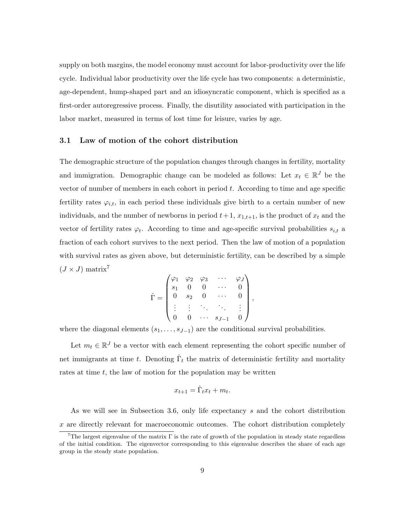supply on both margins, the model economy must account for labor-productivity over the life cycle. Individual labor productivity over the life cycle has two components: a deterministic, age-dependent, hump-shaped part and an idiosyncratic component, which is specified as a first-order autoregressive process. Finally, the disutility associated with participation in the labor market, measured in terms of lost time for leisure, varies by age.

#### 3.1 Law of motion of the cohort distribution

The demographic structure of the population changes through changes in fertility, mortality and immigration. Demographic change can be modeled as follows: Let  $x_t \in \mathbb{R}^J$  be the vector of number of members in each cohort in period  $t$ . According to time and age specific fertility rates  $\varphi_{i,t}$ , in each period these individuals give birth to a certain number of new individuals, and the number of newborns in period  $t+1$ ,  $x_{1,t+1}$ , is the product of  $x_t$  and the vector of fertility rates  $\varphi_t$ . According to time and age-specific survival probabilities  $s_{i,t}$  a fraction of each cohort survives to the next period. Then the law of motion of a population with survival rates as given above, but deterministic fertility, can be described by a simple  $(J \times J)$  matrix<sup>[7](#page-10-0)</sup>

$$
\hat{\Gamma} = \begin{pmatrix}\n\varphi_1 & \varphi_2 & \varphi_3 & \cdots & \varphi_J \\
s_1 & 0 & 0 & \cdots & 0 \\
0 & s_2 & 0 & \cdots & 0 \\
\vdots & \vdots & \ddots & \ddots & \vdots \\
0 & 0 & \cdots & s_{J-1} & 0\n\end{pmatrix},
$$

where the diagonal elements  $(s_1, \ldots, s_{J-1})$  are the conditional survival probabilities.

Let  $m_t \in \mathbb{R}^J$  be a vector with each element representing the cohort specific number of net immigrants at time t. Denoting  $\hat{\Gamma}_t$  the matrix of deterministic fertility and mortality rates at time  $t$ , the law of motion for the population may be written

$$
x_{t+1} = \hat{\Gamma}_t x_t + m_t.
$$

As we will see in Subsection [3.6,](#page-14-0) only life expectancy s and the cohort distribution x are directly relevant for macroeconomic outcomes. The cohort distribution completely

<span id="page-10-0"></span><sup>&</sup>lt;sup>7</sup>The largest eigenvalue of the matrix  $\Gamma$  is the rate of growth of the population in steady state regardless of the initial condition. The eigenvector corresponding to this eigenvalue describes the share of each age group in the steady state population.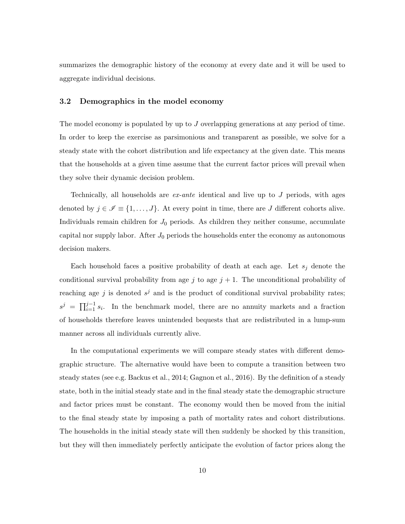summarizes the demographic history of the economy at every date and it will be used to aggregate individual decisions.

### 3.2 Demographics in the model economy

The model economy is populated by up to J overlapping generations at any period of time. In order to keep the exercise as parsimonious and transparent as possible, we solve for a steady state with the cohort distribution and life expectancy at the given date. This means that the households at a given time assume that the current factor prices will prevail when they solve their dynamic decision problem.

Technically, all households are  $ex$ -ante identical and live up to  $J$  periods, with ages denoted by  $j \in \mathscr{I} \equiv \{1, \ldots, J\}$ . At every point in time, there are J different cohorts alive. Individuals remain children for  $J_0$  periods. As children they neither consume, accumulate capital nor supply labor. After  $J_0$  periods the households enter the economy as autonomous decision makers.

Each household faces a positive probability of death at each age. Let  $s_i$  denote the conditional survival probability from age j to age  $j + 1$ . The unconditional probability of reaching age j is denoted  $s^j$  and is the product of conditional survival probability rates;  $s^j = \prod_{i=1}^{j-1} s_i$ . In the benchmark model, there are no annuity markets and a fraction of households therefore leaves unintended bequests that are redistributed in a lump-sum manner across all individuals currently alive.

In the computational experiments we will compare steady states with different demographic structure. The alternative would have been to compute a transition between two steady states (see e.g. [Backus et al.,](#page-29-0) [2014;](#page-29-0) [Gagnon et al.,](#page-30-2) [2016\)](#page-30-2). By the definition of a steady state, both in the initial steady state and in the final steady state the demographic structure and factor prices must be constant. The economy would then be moved from the initial to the final steady state by imposing a path of mortality rates and cohort distributions. The households in the initial steady state will then suddenly be shocked by this transition, but they will then immediately perfectly anticipate the evolution of factor prices along the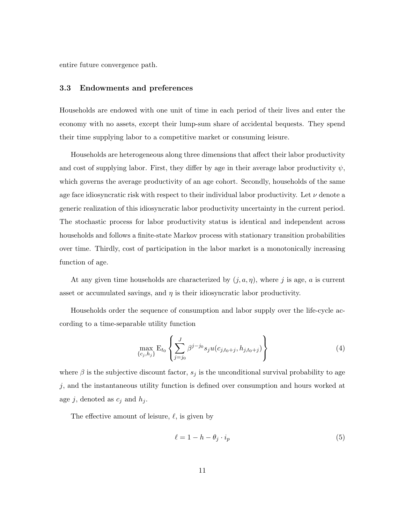entire future convergence path.

### 3.3 Endowments and preferences

Households are endowed with one unit of time in each period of their lives and enter the economy with no assets, except their lump-sum share of accidental bequests. They spend their time supplying labor to a competitive market or consuming leisure.

Households are heterogeneous along three dimensions that affect their labor productivity and cost of supplying labor. First, they differ by age in their average labor productivity  $\psi$ , which governs the average productivity of an age cohort. Secondly, households of the same age face idiosyncratic risk with respect to their individual labor productivity. Let  $\nu$  denote a generic realization of this idiosyncratic labor productivity uncertainty in the current period. The stochastic process for labor productivity status is identical and independent across households and follows a finite-state Markov process with stationary transition probabilities over time. Thirdly, cost of participation in the labor market is a monotonically increasing function of age.

At any given time households are characterized by  $(j, a, \eta)$ , where j is age, a is current asset or accumulated savings, and  $\eta$  is their idiosyncratic labor productivity.

Households order the sequence of consumption and labor supply over the life-cycle according to a time-separable utility function

$$
\max_{\{c_j, h_j\}} \mathcal{E}_{t_0} \left\{ \sum_{j=j_0}^J \beta^{j-j_0} s_j u(c_{j,t_0+j}, h_{j,t_0+j}) \right\} \tag{4}
$$

where  $\beta$  is the subjective discount factor,  $s_j$  is the unconditional survival probability to age j, and the instantaneous utility function is defined over consumption and hours worked at age j, denoted as  $c_j$  and  $h_j$ .

The effective amount of leisure,  $\ell$ , is given by

$$
\ell = 1 - h - \theta_j \cdot i_p \tag{5}
$$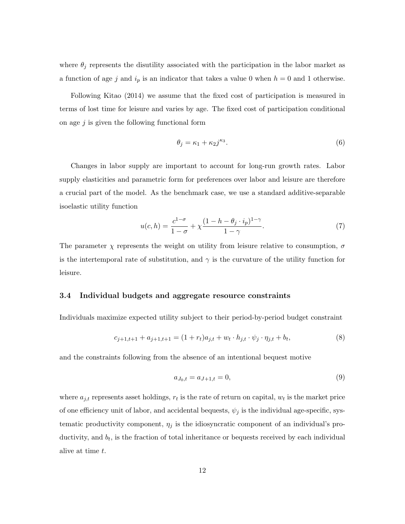where  $\theta_i$  represents the disutility associated with the participation in the labor market as a function of age j and  $i_p$  is an indicator that takes a value 0 when  $h = 0$  and 1 otherwise.

Following [Kitao](#page-31-6) [\(2014\)](#page-31-6) we assume that the fixed cost of participation is measured in terms of lost time for leisure and varies by age. The fixed cost of participation conditional on age  $j$  is given the following functional form

$$
\theta_j = \kappa_1 + \kappa_2 j^{\kappa_3}.\tag{6}
$$

Changes in labor supply are important to account for long-run growth rates. Labor supply elasticities and parametric form for preferences over labor and leisure are therefore a crucial part of the model. As the benchmark case, we use a standard additive-separable isoelastic utility function

$$
u(c,h) = \frac{c^{1-\sigma}}{1-\sigma} + \chi \frac{(1-h-\theta_j \cdot i_p)^{1-\gamma}}{1-\gamma}.
$$
\n
$$
(7)
$$

The parameter  $\chi$  represents the weight on utility from leisure relative to consumption,  $\sigma$ is the intertemporal rate of substitution, and  $\gamma$  is the curvature of the utility function for leisure.

#### 3.4 Individual budgets and aggregate resource constraints

Individuals maximize expected utility subject to their period-by-period budget constraint

$$
c_{j+1,t+1} + a_{j+1,t+1} = (1 + r_t)a_{j,t} + w_t \cdot h_{j,t} \cdot \psi_j \cdot \eta_{j,t} + b_t,
$$
\n(8)

and the constraints following from the absence of an intentional bequest motive

$$
a_{J_0,t} = a_{J+1,t} = 0,\t\t(9)
$$

where  $a_{j,t}$  represents asset holdings,  $r_t$  is the rate of return on capital,  $w_t$  is the market price of one efficiency unit of labor, and accidental bequests,  $\psi_j$  is the individual age-specific, systematic productivity component,  $\eta_j$  is the idiosyncratic component of an individual's productivity, and  $b_t$ , is the fraction of total inheritance or bequests received by each individual alive at time t.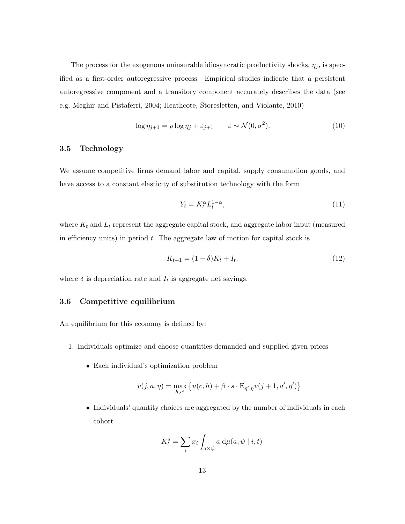The process for the exogenous uninsurable idiosyncratic productivity shocks,  $\eta_j$ , is specified as a first-order autoregressive process. Empirical studies indicate that a persistent autoregressive component and a transitory component accurately describes the data (see e.g. [Meghir and Pistaferri,](#page-31-7) [2004;](#page-31-7) [Heathcote, Storesletten, and Violante,](#page-30-7) [2010\)](#page-30-7)

$$
\log \eta_{j+1} = \rho \log \eta_j + \varepsilon_{j+1} \qquad \varepsilon \sim \mathcal{N}(0, \sigma^2). \tag{10}
$$

### 3.5 Technology

We assume competitive firms demand labor and capital, supply consumption goods, and have access to a constant elasticity of substitution technology with the form

$$
Y_t = K_t^{\alpha} L_t^{1-\alpha},\tag{11}
$$

where  $K_t$  and  $L_t$  represent the aggregate capital stock, and aggregate labor input (measured in efficiency units) in period  $t$ . The aggregate law of motion for capital stock is

$$
K_{t+1} = (1 - \delta)K_t + I_t.
$$
\n(12)

where  $\delta$  is depreciation rate and  $I_t$  is aggregate net savings.

### <span id="page-14-0"></span>3.6 Competitive equilibrium

An equilibrium for this economy is defined by:

- 1. Individuals optimize and choose quantities demanded and supplied given prices
	- Each individual's optimization problem

$$
v(j, a, \eta) = \max_{h, a'} \left\{ u(c, h) + \beta \cdot s \cdot \mathbb{E}_{\eta' | \eta} v(j + 1, a', \eta') \right\}
$$

• Individuals' quantity choices are aggregated by the number of individuals in each cohort

$$
K_t^s = \sum_i x_i \int_{a \times \psi} a \, \mathrm{d}\mu(a, \psi \mid i, t)
$$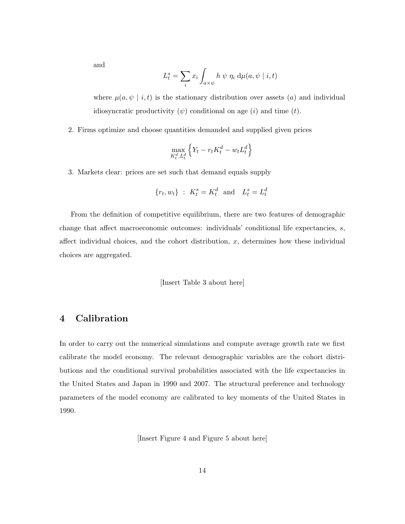and

$$
L_t^s = \sum_i x_i \int_{a \times \psi} h \psi \eta_i d\mu(a, \psi \mid i, t)
$$

where  $\mu(a, \psi \mid i, t)$  is the stationary distribution over assets (a) and individual idiosyncratic productivity  $(\psi)$  conditional on age  $(i)$  and time  $(t)$ .

2. Firms optimize and choose quantities demanded and supplied given prices

$$
\max_{K_t^d, L_t^d} \left\{ Y_t - r_t K_t^d - w_t L_t^d \right\}
$$

3. Markets clear: prices are set such that demand equals supply

$$
\{r_t, w_t\} : K_t^s = K_t^d \text{ and } L_t^s = L_t^d
$$

From the definition of competitive equilibrium, there are two features of demographic change that affect macroeconomic outcomes: individuals' conditional life expectancies, s, affect individual choices, and the cohort distribution,  $x$ , determines how these individual choices are aggregated.

#### [Insert Table [3](#page-33-0) about here]

### 4 Calibration

In order to carry out the numerical simulations and compute average growth rate we first calibrate the model economy. The relevant demographic variables are the cohort distributions and the conditional survival probabilities associated with the life expectancies in the United States and Japan in 1990 and 2007. The structural preference and technology parameters of the model economy are calibrated to key moments of the United States in 1990.

[Insert Figure [4](#page-36-1) and Figure [5](#page-37-0) about here]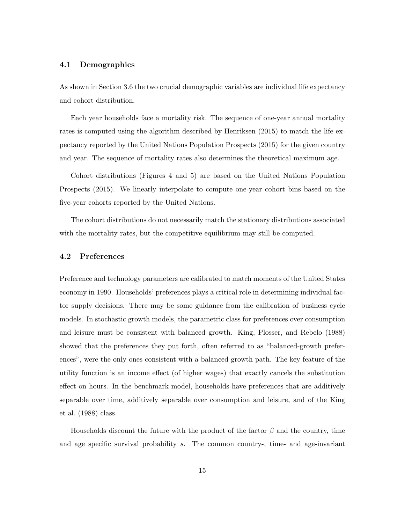### 4.1 Demographics

As shown in Section [3.6](#page-14-0) the two crucial demographic variables are individual life expectancy and cohort distribution.

Each year households face a mortality risk. The sequence of one-year annual mortality rates is computed using the algorithm described by [Henriksen](#page-30-8) [\(2015\)](#page-30-8) to match the life expectancy reported by the United Nations Population Prospects (2015) for the given country and year. The sequence of mortality rates also determines the theoretical maximum age.

Cohort distributions (Figures [4](#page-36-1) and [5\)](#page-37-0) are based on the United Nations Population Prospects (2015). We linearly interpolate to compute one-year cohort bins based on the five-year cohorts reported by the United Nations.

The cohort distributions do not necessarily match the stationary distributions associated with the mortality rates, but the competitive equilibrium may still be computed.

### 4.2 Preferences

Preference and technology parameters are calibrated to match moments of the United States economy in 1990. Households' preferences plays a critical role in determining individual factor supply decisions. There may be some guidance from the calibration of business cycle models. In stochastic growth models, the parametric class for preferences over consumption and leisure must be consistent with balanced growth. [King, Plosser, and Rebelo](#page-30-9) [\(1988\)](#page-30-9) showed that the preferences they put forth, often referred to as "balanced-growth preferences", were the only ones consistent with a balanced growth path. The key feature of the utility function is an income effect (of higher wages) that exactly cancels the substitution effect on hours. In the benchmark model, households have preferences that are additively separable over time, additively separable over consumption and leisure, and of the [King](#page-30-9) [et al.](#page-30-9) [\(1988\)](#page-30-9) class.

Households discount the future with the product of the factor  $\beta$  and the country, time and age specific survival probability s. The common country-, time- and age-invariant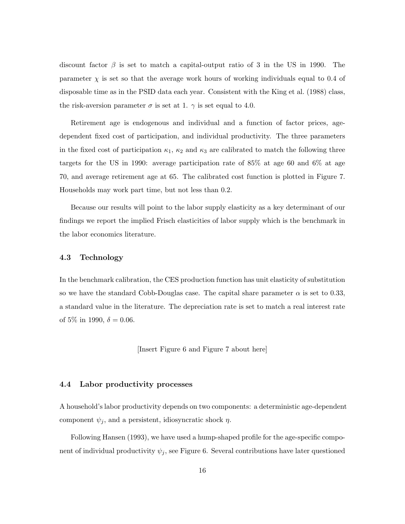discount factor  $\beta$  is set to match a capital-output ratio of 3 in the US in 1990. The parameter  $\chi$  is set so that the average work hours of working individuals equal to 0.4 of disposable time as in the PSID data each year. Consistent with the [King et al.](#page-30-9) [\(1988\)](#page-30-9) class, the risk-aversion parameter  $\sigma$  is set at 1.  $\gamma$  is set equal to 4.0.

Retirement age is endogenous and individual and a function of factor prices, agedependent fixed cost of participation, and individual productivity. The three parameters in the fixed cost of participation  $\kappa_1$ ,  $\kappa_2$  and  $\kappa_3$  are calibrated to match the following three targets for the US in 1990: average participation rate of 85% at age 60 and 6% at age 70, and average retirement age at 65. The calibrated cost function is plotted in Figure [7.](#page-38-0) Households may work part time, but not less than 0.2.

Because our results will point to the labor supply elasticity as a key determinant of our findings we report the implied Frisch elasticities of labor supply which is the benchmark in the labor economics literature.

### 4.3 Technology

In the benchmark calibration, the CES production function has unit elasticity of substitution so we have the standard Cobb-Douglas case. The capital share parameter  $\alpha$  is set to 0.33, a standard value in the literature. The depreciation rate is set to match a real interest rate of 5\% in 1990,  $\delta = 0.06$ .

[Insert Figure [6](#page-37-1) and Figure [7](#page-38-0) about here]

### 4.4 Labor productivity processes

A household's labor productivity depends on two components: a deterministic age-dependent component  $\psi_j$ , and a persistent, idiosyncratic shock  $\eta$ .

Following [Hansen](#page-30-10) [\(1993\)](#page-30-10), we have used a hump-shaped profile for the age-specific component of individual productivity  $\psi_i$ , see Figure [6.](#page-37-1) Several contributions have later questioned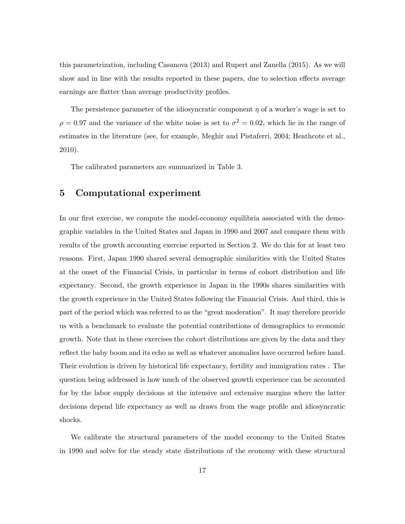this parametrization, including [Casanova](#page-29-9) [\(2013\)](#page-29-9) and [Rupert and Zanella](#page-31-8) [\(2015\)](#page-31-8). As we will show and in line with the results reported in these papers, due to selection effects average earnings are flatter than average productivity profiles.

The persistence parameter of the idiosyncratic component  $\eta$  of a worker's wage is set to  $\rho = 0.97$  and the variance of the white noise is set to  $\sigma^2 = 0.02$ , which lie in the range of estimates in the literature (see, for example, [Meghir and Pistaferri,](#page-31-7) [2004;](#page-31-7) [Heathcote et al.,](#page-30-7) [2010\)](#page-30-7).

The calibrated parameters are summarized in Table [3.](#page-33-0)

### 5 Computational experiment

In our first exercise, we compute the model-economy equilibria associated with the demographic variables in the United States and Japan in 1990 and 2007 and compare them with results of the growth accounting exercise reported in Section [2.](#page-6-1) We do this for at least two reasons. First, Japan 1990 shared several demographic similarities with the United States at the onset of the Financial Crisis, in particular in terms of cohort distribution and life expectancy. Second, the growth experience in Japan in the 1990s shares similarities with the growth experience in the United States following the Financial Crisis. And third, this is part of the period which was referred to as the "great moderation". It may therefore provide us with a benchmark to evaluate the potential contributions of demographics to economic growth. Note that in these exercises the cohort distributions are given by the data and they reflect the baby boom and its echo as well as whatever anomalies have occurred before hand. Their evolution is driven by historical life expectancy, fertility and immigration rates . The question being addressed is how much of the observed growth experience can be accounted for by the labor supply decisions at the intensive and extensive margins where the latter decisions depend life expectancy as well as draws from the wage profile and idiosyncratic shocks.

We calibrate the structural parameters of the model economy to the United States in 1990 and solve for the steady state distributions of the economy with these structural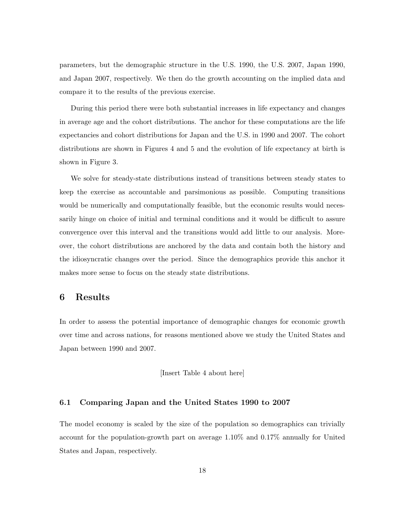parameters, but the demographic structure in the U.S. 1990, the U.S. 2007, Japan 1990, and Japan 2007, respectively. We then do the growth accounting on the implied data and compare it to the results of the previous exercise.

During this period there were both substantial increases in life expectancy and changes in average age and the cohort distributions. The anchor for these computations are the life expectancies and cohort distributions for Japan and the U.S. in 1990 and 2007. The cohort distributions are shown in Figures [4](#page-36-1) and [5](#page-37-0) and the evolution of life expectancy at birth is shown in Figure [3.](#page-36-0)

We solve for steady-state distributions instead of transitions between steady states to keep the exercise as accountable and parsimonious as possible. Computing transitions would be numerically and computationally feasible, but the economic results would necessarily hinge on choice of initial and terminal conditions and it would be difficult to assure convergence over this interval and the transitions would add little to our analysis. Moreover, the cohort distributions are anchored by the data and contain both the history and the idiosyncratic changes over the period. Since the demographics provide this anchor it makes more sense to focus on the steady state distributions.

### 6 Results

In order to assess the potential importance of demographic changes for economic growth over time and across nations, for reasons mentioned above we study the United States and Japan between 1990 and 2007.

[Insert Table [4](#page-33-1) about here]

### 6.1 Comparing Japan and the United States 1990 to 2007

The model economy is scaled by the size of the population so demographics can trivially account for the population-growth part on average 1.10% and 0.17% annually for United States and Japan, respectively.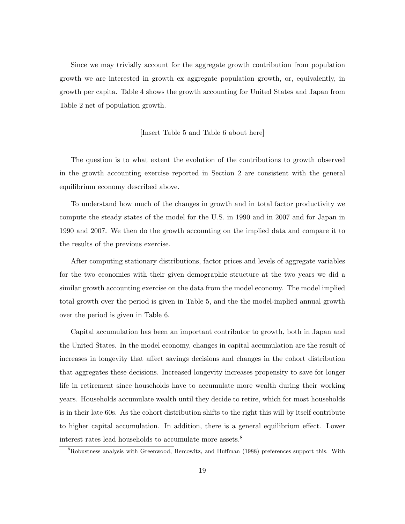Since we may trivially account for the aggregate growth contribution from population growth we are interested in growth ex aggregate population growth, or, equivalently, in growth per capita. Table [4](#page-33-1) shows the growth accounting for United States and Japan from Table [2](#page-32-1) net of population growth.

#### [Insert Table [5](#page-33-2) and Table [6](#page-33-3) about here]

The question is to what extent the evolution of the contributions to growth observed in the growth accounting exercise reported in Section [2](#page-6-1) are consistent with the general equilibrium economy described above.

To understand how much of the changes in growth and in total factor productivity we compute the steady states of the model for the U.S. in 1990 and in 2007 and for Japan in 1990 and 2007. We then do the growth accounting on the implied data and compare it to the results of the previous exercise.

After computing stationary distributions, factor prices and levels of aggregate variables for the two economies with their given demographic structure at the two years we did a similar growth accounting exercise on the data from the model economy. The model implied total growth over the period is given in Table [5,](#page-33-2) and the the model-implied annual growth over the period is given in Table [6.](#page-33-3)

Capital accumulation has been an important contributor to growth, both in Japan and the United States. In the model economy, changes in capital accumulation are the result of increases in longevity that affect savings decisions and changes in the cohort distribution that aggregates these decisions. Increased longevity increases propensity to save for longer life in retirement since households have to accumulate more wealth during their working years. Households accumulate wealth until they decide to retire, which for most households is in their late 60s. As the cohort distribution shifts to the right this will by itself contribute to higher capital accumulation. In addition, there is a general equilibrium effect. Lower interest rates lead households to accumulate more assets.<sup>[8](#page-20-0)</sup>

<span id="page-20-0"></span><sup>8</sup>Robustness analysis with [Greenwood, Hercowitz, and Huffman](#page-30-11) [\(1988\)](#page-30-11) preferences support this. With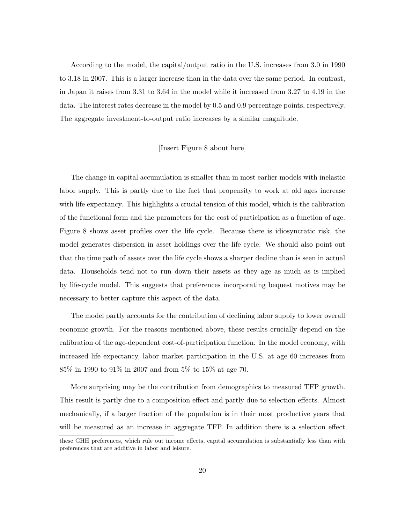According to the model, the capital/output ratio in the U.S. increases from 3.0 in 1990 to 3.18 in 2007. This is a larger increase than in the data over the same period. In contrast, in Japan it raises from 3.31 to 3.64 in the model while it increased from 3.27 to 4.19 in the data. The interest rates decrease in the model by 0.5 and 0.9 percentage points, respectively. The aggregate investment-to-output ratio increases by a similar magnitude.

### [Insert Figure [8](#page-39-0) about here]

The change in capital accumulation is smaller than in most earlier models with inelastic labor supply. This is partly due to the fact that propensity to work at old ages increase with life expectancy. This highlights a crucial tension of this model, which is the calibration of the functional form and the parameters for the cost of participation as a function of age. Figure [8](#page-39-0) shows asset profiles over the life cycle. Because there is idiosyncratic risk, the model generates dispersion in asset holdings over the life cycle. We should also point out that the time path of assets over the life cycle shows a sharper decline than is seen in actual data. Households tend not to run down their assets as they age as much as is implied by life-cycle model. This suggests that preferences incorporating bequest motives may be necessary to better capture this aspect of the data.

The model partly accounts for the contribution of declining labor supply to lower overall economic growth. For the reasons mentioned above, these results crucially depend on the calibration of the age-dependent cost-of-participation function. In the model economy, with increased life expectancy, labor market participation in the U.S. at age 60 increases from 85% in 1990 to 91% in 2007 and from 5% to 15% at age 70.

More surprising may be the contribution from demographics to measured TFP growth. This result is partly due to a composition effect and partly due to selection effects. Almost mechanically, if a larger fraction of the population is in their most productive years that will be measured as an increase in aggregate TFP. In addition there is a selection effect

these GHH preferences, which rule out income effects, capital accumulation is substantially less than with preferences that are additive in labor and leisure.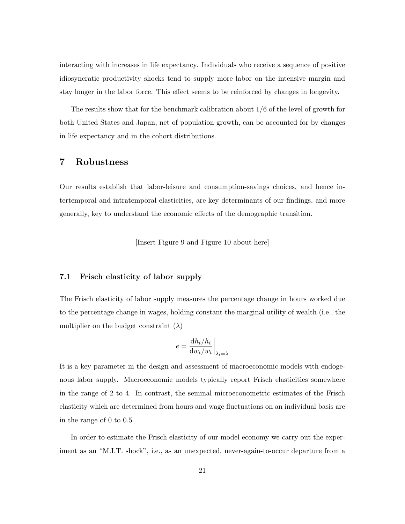interacting with increases in life expectancy. Individuals who receive a sequence of positive idiosyncratic productivity shocks tend to supply more labor on the intensive margin and stay longer in the labor force. This effect seems to be reinforced by changes in longevity.

The results show that for the benchmark calibration about 1/6 of the level of growth for both United States and Japan, net of population growth, can be accounted for by changes in life expectancy and in the cohort distributions.

## 7 Robustness

Our results establish that labor-leisure and consumption-savings choices, and hence intertemporal and intratemporal elasticities, are key determinants of our findings, and more generally, key to understand the economic effects of the demographic transition.

[Insert Figure [9](#page-40-0) and Figure [10](#page-41-0) about here]

### 7.1 Frisch elasticity of labor supply

The Frisch elasticity of labor supply measures the percentage change in hours worked due to the percentage change in wages, holding constant the marginal utility of wealth (i.e., the multiplier on the budget constraint  $(\lambda)$ 

$$
e = \frac{\mathrm{d}h_t/h_t}{\mathrm{d}w_t/w_t}\bigg|_{\lambda_t = \bar{\lambda}}
$$

It is a key parameter in the design and assessment of macroeconomic models with endogenous labor supply. Macroeconomic models typically report Frisch elasticities somewhere in the range of 2 to 4. In contrast, the seminal microeconometric estimates of the Frisch elasticity which are determined from hours and wage fluctuations on an individual basis are in the range of 0 to 0.5.

In order to estimate the Frisch elasticity of our model economy we carry out the experiment as an "M.I.T. shock", i.e., as an unexpected, never-again-to-occur departure from a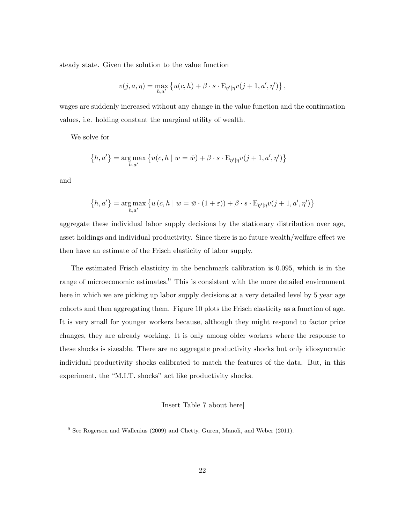steady state. Given the solution to the value function

$$
v(j, a, \eta) = \max_{h, a'} \left\{ u(c, h) + \beta \cdot s \cdot \mathbf{E}_{\eta' | \eta} v(j + 1, a', \eta') \right\},\,
$$

wages are suddenly increased without any change in the value function and the continuation values, i.e. holding constant the marginal utility of wealth.

We solve for

$$
\left\{h,a'\right\}=\mathop{\arg\max}\limits_{h,a'}\left\{u(c,h\mid w=\bar{w})+\beta\cdot s\cdot\mathbf{E}_{\eta'\mid\eta}v(j+1,a',\eta')\right\}
$$

and

$$
\left\{h,a'\right\} = \underset{h,a'}{\arg \max} \left\{u\left(c,h \mid w = \bar{w} \cdot (1+\varepsilon)\right) + \beta \cdot s \cdot \mathbf{E}_{\eta' \mid \eta} v(j+1,a',\eta')\right\}
$$

aggregate these individual labor supply decisions by the stationary distribution over age, asset holdings and individual productivity. Since there is no future wealth/welfare effect we then have an estimate of the Frisch elasticity of labor supply.

The estimated Frisch elasticity in the benchmark calibration is 0.095, which is in the range of microeconomic estimates. $9$  This is consistent with the more detailed environment here in which we are picking up labor supply decisions at a very detailed level by 5 year age cohorts and then aggregating them. Figure [10](#page-41-0) plots the Frisch elasticity as a function of age. It is very small for younger workers because, although they might respond to factor price changes, they are already working. It is only among older workers where the response to these shocks is sizeable. There are no aggregate productivity shocks but only idiosyncratic individual productivity shocks calibrated to match the features of the data. But, in this experiment, the "M.I.T. shocks" act like productivity shocks.

### [Insert Table [7](#page-34-0) about here]

<span id="page-23-0"></span><sup>&</sup>lt;sup>9</sup> See [Rogerson and Wallenius](#page-31-9) [\(2009\)](#page-31-9) and [Chetty, Guren, Manoli, and Weber](#page-29-10) [\(2011\)](#page-29-10).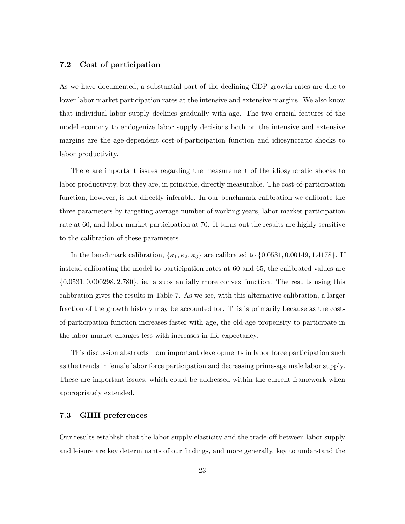### 7.2 Cost of participation

As we have documented, a substantial part of the declining GDP growth rates are due to lower labor market participation rates at the intensive and extensive margins. We also know that individual labor supply declines gradually with age. The two crucial features of the model economy to endogenize labor supply decisions both on the intensive and extensive margins are the age-dependent cost-of-participation function and idiosyncratic shocks to labor productivity.

There are important issues regarding the measurement of the idiosyncratic shocks to labor productivity, but they are, in principle, directly measurable. The cost-of-participation function, however, is not directly inferable. In our benchmark calibration we calibrate the three parameters by targeting average number of working years, labor market participation rate at 60, and labor market participation at 70. It turns out the results are highly sensitive to the calibration of these parameters.

In the benchmark calibration,  $\{\kappa_1, \kappa_2, \kappa_3\}$  are calibrated to  $\{0.0531, 0.00149, 1.4178\}$ . If instead calibrating the model to participation rates at 60 and 65, the calibrated values are {0.0531, 0.000298, 2.780}, ie. a substantially more convex function. The results using this calibration gives the results in Table [7.](#page-34-0) As we see, with this alternative calibration, a larger fraction of the growth history may be accounted for. This is primarily because as the costof-participation function increases faster with age, the old-age propensity to participate in the labor market changes less with increases in life expectancy.

This discussion abstracts from important developments in labor force participation such as the trends in female labor force participation and decreasing prime-age male labor supply. These are important issues, which could be addressed within the current framework when appropriately extended.

### 7.3 GHH preferences

Our results establish that the labor supply elasticity and the trade-off between labor supply and leisure are key determinants of our findings, and more generally, key to understand the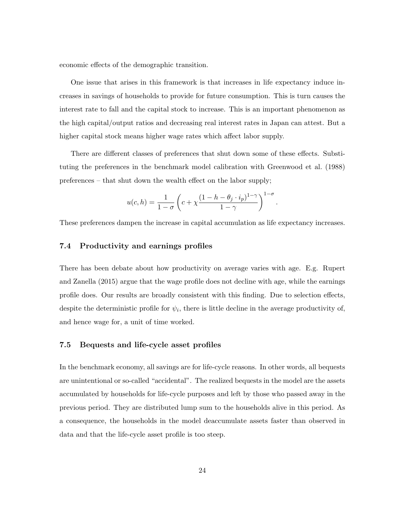economic effects of the demographic transition.

One issue that arises in this framework is that increases in life expectancy induce increases in savings of households to provide for future consumption. This is turn causes the interest rate to fall and the capital stock to increase. This is an important phenomenon as the high capital/output ratios and decreasing real interest rates in Japan can attest. But a higher capital stock means higher wage rates which affect labor supply.

There are different classes of preferences that shut down some of these effects. Substituting the preferences in the benchmark model calibration with [Greenwood et al.](#page-30-11) [\(1988\)](#page-30-11) preferences – that shut down the wealth effect on the labor supply;

$$
u(c,h) = \frac{1}{1-\sigma} \left( c + \chi \frac{(1-h-\theta_j \cdot i_p)^{1-\gamma}}{1-\gamma} \right)^{1-\sigma}.
$$

These preferences dampen the increase in capital accumulation as life expectancy increases.

### 7.4 Productivity and earnings profiles

There has been debate about how productivity on average varies with age. E.g. [Rupert](#page-31-8) [and Zanella](#page-31-8) [\(2015\)](#page-31-8) argue that the wage profile does not decline with age, while the earnings profile does. Our results are broadly consistent with this finding. Due to selection effects, despite the deterministic profile for  $\psi_i$ , there is little decline in the average productivity of, and hence wage for, a unit of time worked.

### 7.5 Bequests and life-cycle asset profiles

In the benchmark economy, all savings are for life-cycle reasons. In other words, all bequests are unintentional or so-called "accidental". The realized bequests in the model are the assets accumulated by households for life-cycle purposes and left by those who passed away in the previous period. They are distributed lump sum to the households alive in this period. As a consequence, the households in the model deaccumulate assets faster than observed in data and that the life-cycle asset profile is too steep.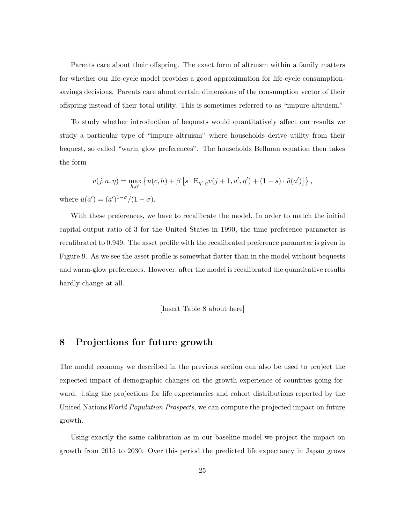Parents care about their offspring. The exact form of altruism within a family matters for whether our life-cycle model provides a good approximation for life-cycle consumptionsavings decisions. Parents care about certain dimensions of the consumption vector of their offspring instead of their total utility. This is sometimes referred to as "impure altruism."

To study whether introduction of bequests would quantitatively affect our results we study a particular type of "impure altruism" where households derive utility from their bequest, so called "warm glow preferences". The households Bellman equation then takes the form

$$
v(j, a, \eta) = \max_{h, a'} \left\{ u(c, h) + \beta \left[ s \cdot \mathbb{E}_{\eta' | \eta} v(j + 1, a', \eta') + (1 - s) \cdot \tilde{u}(a') \right] \right\},\,
$$
  

$$
a') = (a')^{1-\sigma}/(1-\sigma).
$$

where  $\tilde{u}(a') = (a')^{1-\sigma}/(1-\sigma)$ .

With these preferences, we have to recalibrate the model. In order to match the initial capital-output ratio of 3 for the United States in 1990, the time preference parameter is recalibrated to 0.949. The asset profile with the recalibrated preference parameter is given in Figure [9.](#page-40-0) As we see the asset profile is somewhat flatter than in the model without bequests and warm-glow preferences. However, after the model is recalibrated the quantitative results hardly change at all.

[Insert Table [8](#page-34-1) about here]

## 8 Projections for future growth

The model economy we described in the previous section can also be used to project the expected impact of demographic changes on the growth experience of countries going forward. Using the projections for life expectancies and cohort distributions reported by the United Nations World Population Prospects, we can compute the projected impact on future growth.

Using exactly the same calibration as in our baseline model we project the impact on growth from 2015 to 2030. Over this period the predicted life expectancy in Japan grows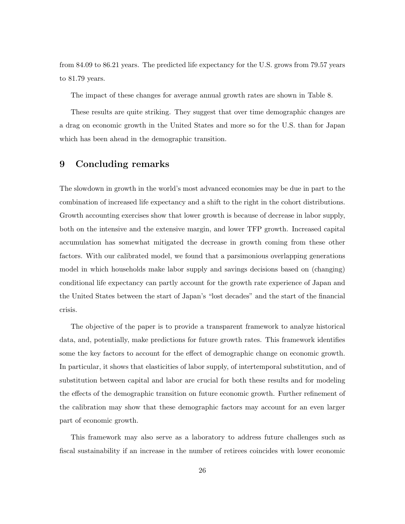from 84.09 to 86.21 years. The predicted life expectancy for the U.S. grows from 79.57 years to 81.79 years.

The impact of these changes for average annual growth rates are shown in Table [8.](#page-34-1)

These results are quite striking. They suggest that over time demographic changes are a drag on economic growth in the United States and more so for the U.S. than for Japan which has been ahead in the demographic transition.

### 9 Concluding remarks

The slowdown in growth in the world's most advanced economies may be due in part to the combination of increased life expectancy and a shift to the right in the cohort distributions. Growth accounting exercises show that lower growth is because of decrease in labor supply, both on the intensive and the extensive margin, and lower TFP growth. Increased capital accumulation has somewhat mitigated the decrease in growth coming from these other factors. With our calibrated model, we found that a parsimonious overlapping generations model in which households make labor supply and savings decisions based on (changing) conditional life expectancy can partly account for the growth rate experience of Japan and the United States between the start of Japan's "lost decades" and the start of the financial crisis.

The objective of the paper is to provide a transparent framework to analyze historical data, and, potentially, make predictions for future growth rates. This framework identifies some the key factors to account for the effect of demographic change on economic growth. In particular, it shows that elasticities of labor supply, of intertemporal substitution, and of substitution between capital and labor are crucial for both these results and for modeling the effects of the demographic transition on future economic growth. Further refinement of the calibration may show that these demographic factors may account for an even larger part of economic growth.

This framework may also serve as a laboratory to address future challenges such as fiscal sustainability if an increase in the number of retirees coincides with lower economic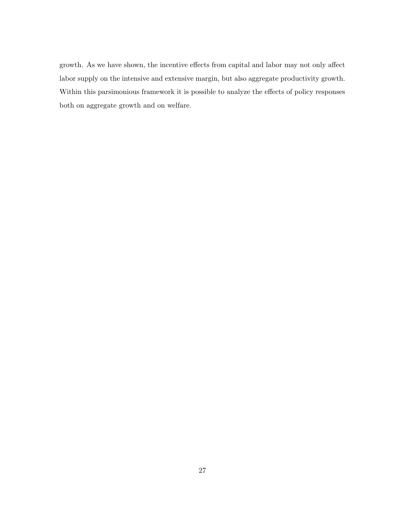growth. As we have shown, the incentive effects from capital and labor may not only affect labor supply on the intensive and extensive margin, but also aggregate productivity growth. Within this parsimonious framework it is possible to analyze the effects of policy responses both on aggregate growth and on welfare.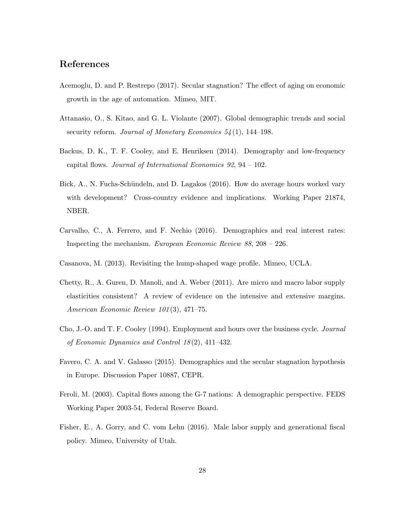# References

- <span id="page-29-4"></span>Acemoglu, D. and P. Restrepo (2017). Secular stagnation? The effect of aging on economic growth in the age of automation. Mimeo, MIT.
- <span id="page-29-7"></span>Attanasio, O., S. Kitao, and G. L. Violante (2007). Global demographic trends and social security reform. Journal of Monetary Economics  $54(1)$ , 144–198.
- <span id="page-29-0"></span>Backus, D. K., T. F. Cooley, and E. Henriksen (2014). Demography and low-frequency capital flows. Journal of International Economics 92, 94 – 102.
- <span id="page-29-3"></span>Bick, A., N. Fuchs-Schündeln, and D. Lagakos (2016). How do average hours worked vary with development? Cross-country evidence and implications. Working Paper 21874, NBER.
- <span id="page-29-2"></span>Carvalho, C., A. Ferrero, and F. Nechio (2016). Demographics and real interest rates: Inspecting the mechanism. European Economic Review 88, 208 – 226.
- <span id="page-29-9"></span>Casanova, M. (2013). Revisiting the hump-shaped wage profile. Mimeo, UCLA.
- <span id="page-29-10"></span>Chetty, R., A. Guren, D. Manoli, and A. Weber (2011). Are micro and macro labor supply elasticities consistent? A review of evidence on the intensive and extensive margins. American Economic Review 101 (3), 471–75.
- <span id="page-29-6"></span>Cho, J.-O. and T. F. Cooley (1994). Employment and hours over the business cycle. Journal of Economic Dynamics and Control  $18(2)$ , 411–432.
- <span id="page-29-5"></span>Favero, C. A. and V. Galasso (2015). Demographics and the secular stagnation hypothesis in Europe. Discussion Paper 10887, CEPR.
- <span id="page-29-1"></span>Feroli, M. (2003). Capital flows among the G-7 nations: A demographic perspective. FEDS Working Paper 2003-54, Federal Reserve Board.
- <span id="page-29-8"></span>Fisher, E., A. Gorry, and C. vom Lehn (2016). Male labor supply and generational fiscal policy. Mimeo, University of Utah.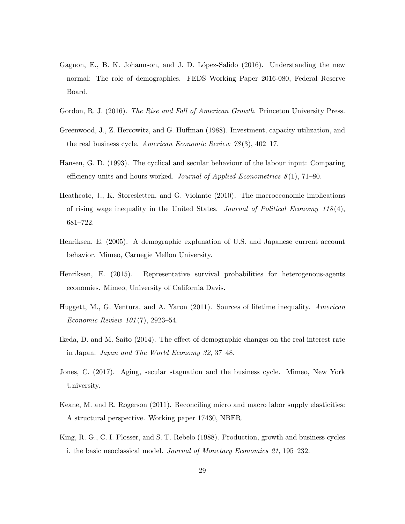- <span id="page-30-2"></span>Gagnon, E., B. K. Johannson, and J. D. López-Salido (2016). Understanding the new normal: The role of demographics. FEDS Working Paper 2016-080, Federal Reserve Board.
- <span id="page-30-0"></span>Gordon, R. J. (2016). *The Rise and Fall of American Growth*. Princeton University Press.
- <span id="page-30-11"></span>Greenwood, J., Z. Hercowitz, and G. Huffman (1988). Investment, capacity utilization, and the real business cycle. American Economic Review  $78(3)$ , 402–17.
- <span id="page-30-10"></span>Hansen, G. D. (1993). The cyclical and secular behaviour of the labour input: Comparing efficiency units and hours worked. Journal of Applied Econometrics  $8(1)$ , 71–80.
- <span id="page-30-7"></span>Heathcote, J., K. Storesletten, and G. Violante (2010). The macroeconomic implications of rising wage inequality in the United States. Journal of Political Economy  $118(4)$ , 681–722.
- <span id="page-30-1"></span>Henriksen, E. (2005). A demographic explanation of U.S. and Japanese current account behavior. Mimeo, Carnegie Mellon University.
- <span id="page-30-8"></span>Henriksen, E. (2015). Representative survival probabilities for heterogenous-agents economies. Mimeo, University of California Davis.
- <span id="page-30-5"></span>Huggett, M., G. Ventura, and A. Yaron (2011). Sources of lifetime inequality. American Economic Review 101 (7), 2923–54.
- <span id="page-30-3"></span>Ikeda, D. and M. Saito (2014). The effect of demographic changes on the real interest rate in Japan. Japan and The World Economy 32, 37–48.
- <span id="page-30-6"></span>Jones, C. (2017). Aging, secular stagnation and the business cycle. Mimeo, New York University.
- <span id="page-30-4"></span>Keane, M. and R. Rogerson (2011). Reconciling micro and macro labor supply elasticities: A structural perspective. Working paper 17430, NBER.
- <span id="page-30-9"></span>King, R. G., C. I. Plosser, and S. T. Rebelo (1988). Production, growth and business cycles i. the basic neoclassical model. Journal of Monetary Economics 21, 195–232.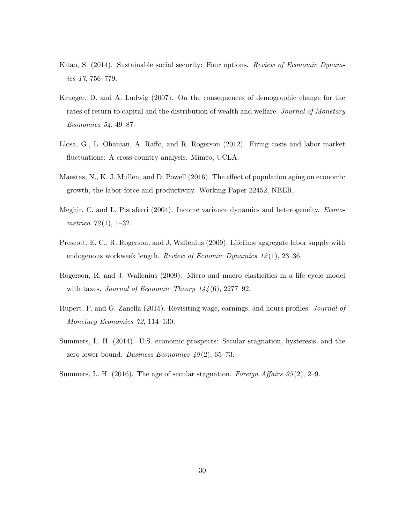- <span id="page-31-6"></span>Kitao, S. (2014). Sustainable social security: Four options. Review of Economic Dynamics 17, 756–779.
- <span id="page-31-2"></span>Krueger, D. and A. Ludwig (2007). On the consequences of demographic change for the rates of return to capital and the distribution of wealth and welfare. Journal of Monetary Economics 54, 49–87.
- <span id="page-31-5"></span>Llosa, G., L. Ohanian, A. Raffo, and R. Rogerson (2012). Firing costs and labor market fluctuations: A cross-country analysis. Mimeo, UCLA.
- <span id="page-31-4"></span>Maestas, N., K. J. Mullen, and D. Powell (2016). The effect of population aging on economic growth, the labor force and productivity. Working Paper 22452, NBER.
- <span id="page-31-7"></span>Meghir, C. and L. Pistaferri (2004). Income variance dynamics and heterogeneity. *Econo*metrica  $72(1)$ , 1–32.
- <span id="page-31-3"></span>Prescott, E. C., R. Rogerson, and J. Wallenius (2009). Lifetime aggregate labor supply with endogenous workweek length. Review of Ecnomic Dynamics 12 (1), 23–36.
- <span id="page-31-9"></span>Rogerson, R. and J. Wallenius (2009). Micro and macro elasticities in a life cycle model with taxes. Journal of Economic Theory  $144(6)$ , 2277-92.
- <span id="page-31-8"></span>Rupert, P. and G. Zanella (2015). Revisiting wage, earnings, and hours profiles. Journal of Monetary Economics 72, 114–130.
- <span id="page-31-0"></span>Summers, L. H. (2014). U.S. economic prospects: Secular stagnation, hysteresis, and the zero lower bound. Business Economics  $49(2)$ , 65–73.
- <span id="page-31-1"></span>Summers, L. H. (2016). The age of secular stagnation. Foreign Affairs  $95(2)$ , 2–9.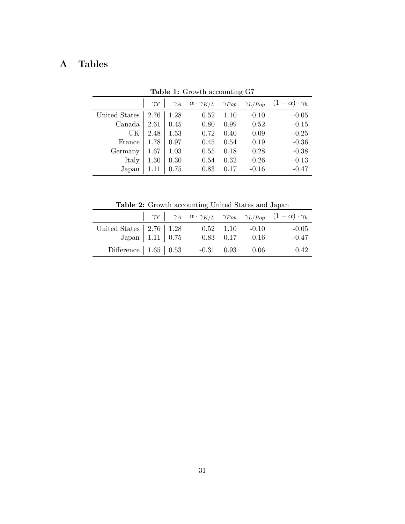# A Tables

|                                  |                  |            |                                                             |      | $\check{ }$ |                            |
|----------------------------------|------------------|------------|-------------------------------------------------------------|------|-------------|----------------------------|
|                                  | $\gamma_Y$       | $\gamma_A$ | $\alpha \cdot \gamma_{K/L}$ $\gamma_{Pop}$ $\gamma_{L/Pop}$ |      |             | $(1-\alpha)\cdot \gamma_h$ |
| United States $\vert 2.76 \vert$ |                  | 1.28       | 0.52                                                        | 1.10 | $-0.10$     | $-0.05$                    |
| Canada                           | $2.61 \mid 0.45$ |            | 0.80                                                        | 0.99 | 0.52        | $-0.15$                    |
| UK                               | 2.48             | 1.53       | 0.72                                                        | 0.40 | 0.09        | $-0.25$                    |
| France                           | 1.78             | 0.97       | 0.45                                                        | 0.54 | 0.19        | $-0.36$                    |
| Germany                          | 1.67             | 1.03       | 0.55                                                        | 0.18 | 0.28        | $-0.38$                    |
| Italy                            | 1.30             | 0.30       | 0.54                                                        | 0.32 | 0.26        | $-0.13$                    |
| Japan                            | 1.11             | 0.75       | 0.83                                                        | 0.17 | $-0.16$     | $-0.47$                    |

<span id="page-32-0"></span>Table 1: Growth accounting G7

<span id="page-32-1"></span>Table 2: Growth accounting United States and Japan

|                                                                                                                  |  |                     |                       | $\begin{vmatrix} \gamma_Y & \gamma_A & \alpha \cdot \gamma_{K/L} & \gamma_{Pop} & \gamma_{L/Pop} & (1-\alpha) \cdot \gamma_h \end{vmatrix}$ |
|------------------------------------------------------------------------------------------------------------------|--|---------------------|-----------------------|---------------------------------------------------------------------------------------------------------------------------------------------|
| United States $\begin{array}{ c c c c }\n\hline\n2.76 & 1.28 \\ \hline\n\text{Japan} & 1.11 & 0.75\n\end{array}$ |  | $0.52$ 1.10 $-0.10$ |                       | $-0.05$                                                                                                                                     |
|                                                                                                                  |  |                     | $0.83$ $0.17$ $-0.16$ | $-0.47$                                                                                                                                     |
|                                                                                                                  |  |                     |                       | 0.42                                                                                                                                        |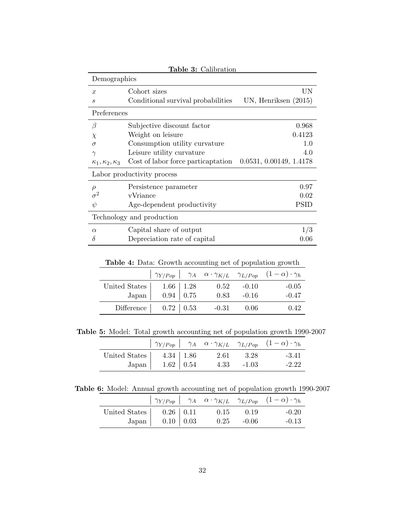<span id="page-33-0"></span>

| Table 3: Calibration           |                                    |                         |  |  |  |  |  |
|--------------------------------|------------------------------------|-------------------------|--|--|--|--|--|
| Demographics                   |                                    |                         |  |  |  |  |  |
| $\boldsymbol{x}$               | Cohort sizes                       | UN                      |  |  |  |  |  |
| $\mathcal{S}_{0}$              | Conditional survival probabilities | UN, Henriksen $(2015)$  |  |  |  |  |  |
| Preferences                    |                                    |                         |  |  |  |  |  |
| β                              | Subjective discount factor         | 0.968                   |  |  |  |  |  |
| $\chi$                         | Weight on leisure                  | 0.4123                  |  |  |  |  |  |
| $\sigma$                       | Consumption utility curvature      | 1.0                     |  |  |  |  |  |
| $\gamma$                       | Leisure utility curvature          | 4.0                     |  |  |  |  |  |
| $\kappa_1, \kappa_2, \kappa_3$ | Cost of labor force particaptation | 0.0531, 0.00149, 1.4178 |  |  |  |  |  |
| Labor productivity process     |                                    |                         |  |  |  |  |  |
| $\rho$                         | Persistence parameter              | 0.97                    |  |  |  |  |  |
|                                | vVriance                           | 0.02                    |  |  |  |  |  |
| $\psi$                         | Age-dependent productivity         | PSID                    |  |  |  |  |  |
| Technology and production      |                                    |                         |  |  |  |  |  |
| $\alpha$                       | Capital share of output            | 1/3                     |  |  |  |  |  |
| δ                              | Depreciation rate of capital       | 0.06                    |  |  |  |  |  |

<span id="page-33-1"></span>Table 4: Data: Growth accounting net of population growth

|                                      |                                                             |         |         | $\eta_{Y/Pop}$ $\eta_A$ $\alpha \cdot \gamma_{K/L}$ $\gamma_{L/Pop}$ $(1-\alpha) \cdot \gamma_h$ |
|--------------------------------------|-------------------------------------------------------------|---------|---------|--------------------------------------------------------------------------------------------------|
| United States                        | $\begin{array}{c c} 1.66 & 1.28 \\ 0.94 & 0.75 \end{array}$ | 0.52    | $-0.10$ | $-0.05$                                                                                          |
| Japan                                |                                                             | 0.83    | $-0.16$ | $-0.47$                                                                                          |
| Difference $\vert$ 0.72 $\vert$ 0.53 |                                                             | $-0.31$ | 0.06    | 0.42                                                                                             |

Table 5: Model: Total growth accounting net of population growth 1990-2007

<span id="page-33-2"></span>

|                                                                                                                    |  |                    | $\eta_{Y/Pop}$ $\eta_A$ $\alpha \cdot \gamma_{K/L}$ $\gamma_{L/Pop}$ $(1-\alpha) \cdot \gamma_h$ |
|--------------------------------------------------------------------------------------------------------------------|--|--------------------|--------------------------------------------------------------------------------------------------|
| United States $\begin{array}{ c c } \hline 4.34 & 1.86 \\ \hline \text{Japan} & 1.62 & 0.54 \\ \hline \end{array}$ |  | $2.61 \qquad 3.28$ | $-3.41$                                                                                          |
|                                                                                                                    |  | $4.33 - 1.03$      | $-2.22$                                                                                          |

Table 6: Model: Annual growth accounting net of population growth 1990-2007

<span id="page-33-3"></span>

|                                                                                                                 |  |               |               | $\begin{vmatrix} \gamma_{Y/Pop} & \gamma_A & \alpha \cdot \gamma_{K/L} & \gamma_{L/Pop} & (1-\alpha) \cdot \gamma_h \end{vmatrix}$ |
|-----------------------------------------------------------------------------------------------------------------|--|---------------|---------------|------------------------------------------------------------------------------------------------------------------------------------|
| United States $\begin{array}{c c} \text{United States} & 0.26 & 0.11 \\ \text{Japan} & 0.10 & 0.03 \end{array}$ |  | $0.15$ $0.19$ |               | $-0.20$                                                                                                                            |
|                                                                                                                 |  |               | $0.25 - 0.06$ | $-0.13$                                                                                                                            |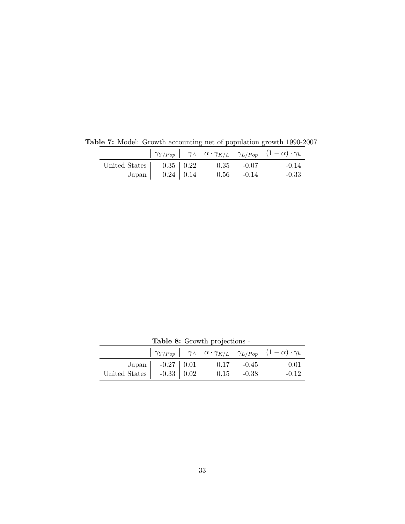<span id="page-34-0"></span>

|                                                                          |  |               | $\eta_{Y/Pop}$ $\eta_A$ $\alpha \cdot \gamma_{K/L}$ $\gamma_{L/Pop}$ $(1-\alpha) \cdot \gamma_h$ |
|--------------------------------------------------------------------------|--|---------------|--------------------------------------------------------------------------------------------------|
| United States $\begin{vmatrix} 0.35 & 0.22 \\ 0.24 & 0.14 \end{vmatrix}$ |  | $0.35 - 0.07$ | $-0.14$                                                                                          |
|                                                                          |  | $0.56 - 0.14$ | $-0.33$                                                                                          |

Table 7: Model: Growth accounting net of population growth 1990-2007

Table 8: Growth projections -  $\gamma_{Y/Pop}$  |  $\gamma_A$   $\alpha \cdot \gamma_{K/L}$   $\gamma_{L/Pop}$   $(1-\alpha) \cdot \gamma_h$ Japan  $-0.27$   $0.01$  0.17  $-0.45$  0.01 United States  $\begin{array}{|l} -0.33 & 0.02 & 0.15 & -0.38 & -0.12 \end{array}$ 

<span id="page-34-1"></span>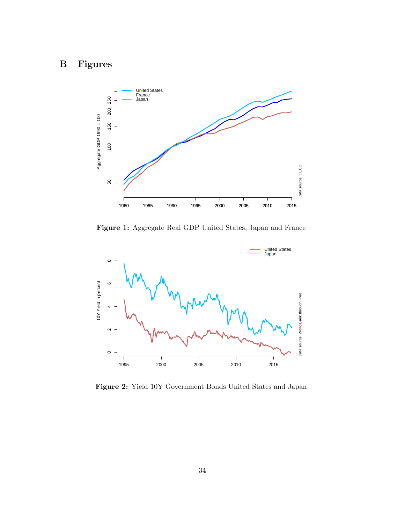# B Figures



<span id="page-35-0"></span>Figure 1: Aggregate Real GDP United States, Japan and France



<span id="page-35-1"></span>Figure 2: Yield 10Y Government Bonds United States and Japan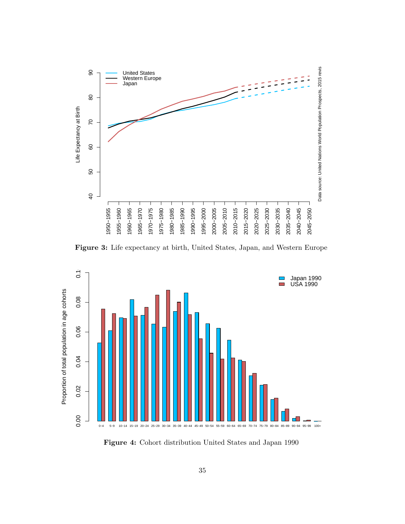

<span id="page-36-0"></span>Figure 3: Life expectancy at birth, United States, Japan, and Western Europe



<span id="page-36-1"></span>Figure 4: Cohort distribution United States and Japan 1990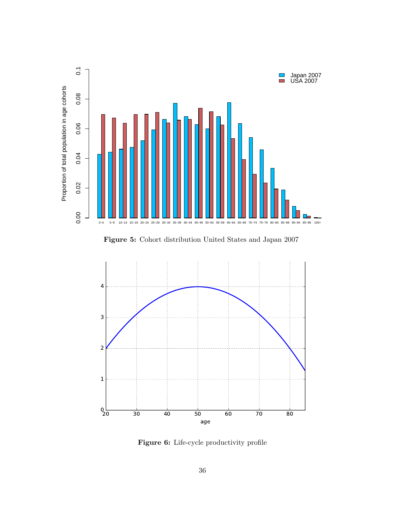

<span id="page-37-0"></span>Figure 5: Cohort distribution United States and Japan 2007



<span id="page-37-1"></span>Figure 6: Life-cycle productivity profile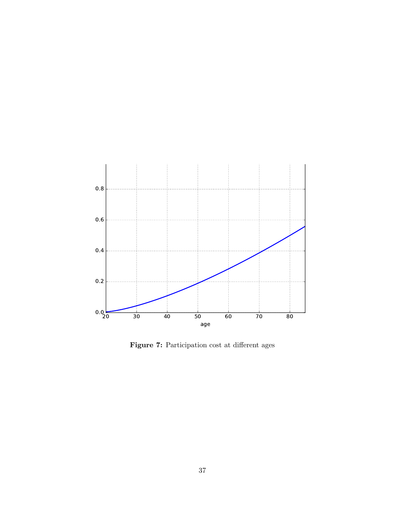

<span id="page-38-0"></span>Figure 7: Participation cost at different ages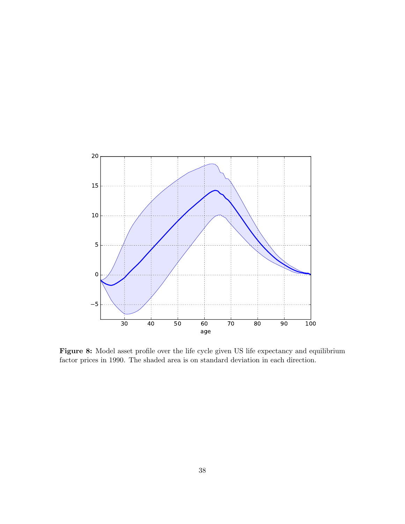

<span id="page-39-0"></span>Figure 8: Model asset profile over the life cycle given US life expectancy and equilibrium factor prices in 1990. The shaded area is on standard deviation in each direction.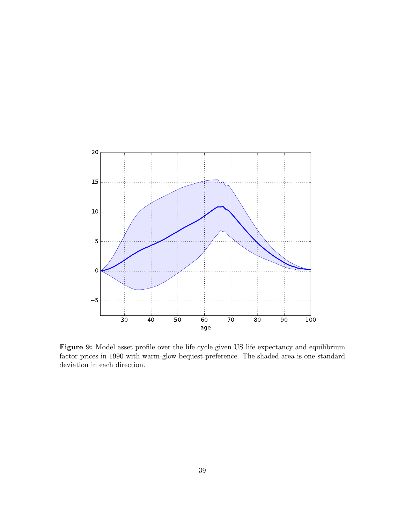

<span id="page-40-0"></span>Figure 9: Model asset profile over the life cycle given US life expectancy and equilibrium factor prices in 1990 with warm-glow bequest preference. The shaded area is one standard deviation in each direction.